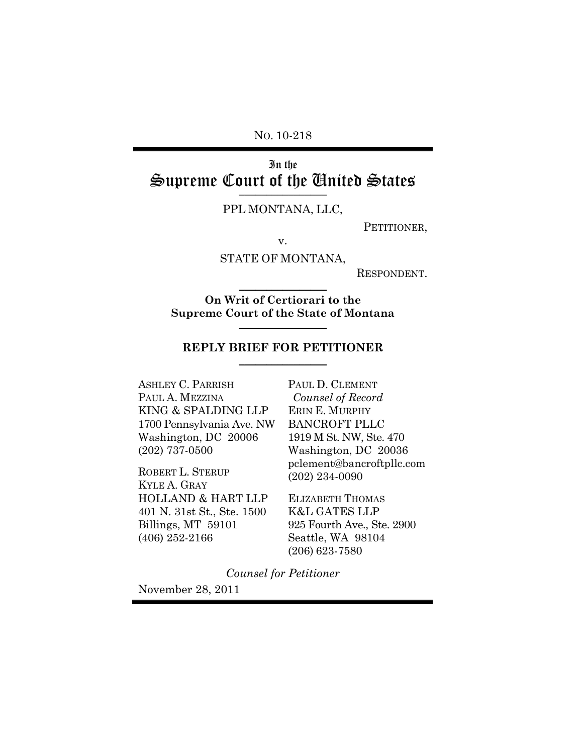NO. 10-218

# In the Supreme Court of the United States **\_\_\_\_\_\_\_\_\_\_\_\_\_\_\_\_**

#### PPL MONTANA, LLC,

PETITIONER,

v.

STATE OF MONTANA,

 $\frac{1}{2}$ 

RESPONDENT.

**On Writ of Certiorari to the Supreme Court of the State of Montana** \_\_\_\_\_\_\_\_\_\_\_\_\_\_\_\_

#### **REPLY BRIEF FOR PETITIONER**  $\frac{1}{2}$

ASHLEY C. PARRISH PAUL A. MEZZINA KING & SPALDING LLP 1700 Pennsylvania Ave. NW Washington, DC 20006 (202) 737-0500

ROBERT L. STERUP KYLE A. GRAY HOLLAND & HART LLP 401 N. 31st St., Ste. 1500 Billings, MT 59101 (406) 252-2166

PAUL D. CLEMENT *Counsel of Record* ERIN E. MURPHY BANCROFT PLLC 1919 M St. NW, Ste. 470 Washington, DC 20036 pclement@bancroftpllc.com (202) 234-0090

ELIZABETH THOMAS K&L GATES LLP 925 Fourth Ave., Ste. 2900 Seattle, WA 98104 (206) 623-7580

*Counsel for Petitioner*

November 28, 2011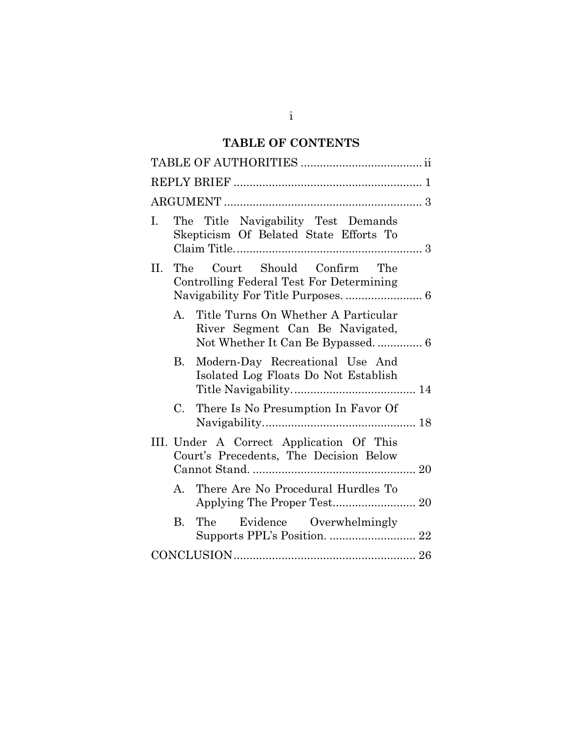## **TABLE OF CONTENTS**

| The Title Navigability Test Demands<br>L.<br>Skepticism Of Belated State Efforts To    |
|----------------------------------------------------------------------------------------|
| Court Should Confirm The<br>H.<br>The<br>Controlling Federal Test For Determining      |
| Title Turns On Whether A Particular<br>$\mathbf{A}$<br>River Segment Can Be Navigated, |
| В.<br>Modern-Day Recreational Use And<br>Isolated Log Floats Do Not Establish          |
| There Is No Presumption In Favor Of<br>C.                                              |
| III. Under A Correct Application Of This<br>Court's Precedents, The Decision Below     |
| There Are No Procedural Hurdles To<br>$\mathbf{A}$                                     |
| Evidence Overwhelmingly<br>B.<br>The                                                   |
|                                                                                        |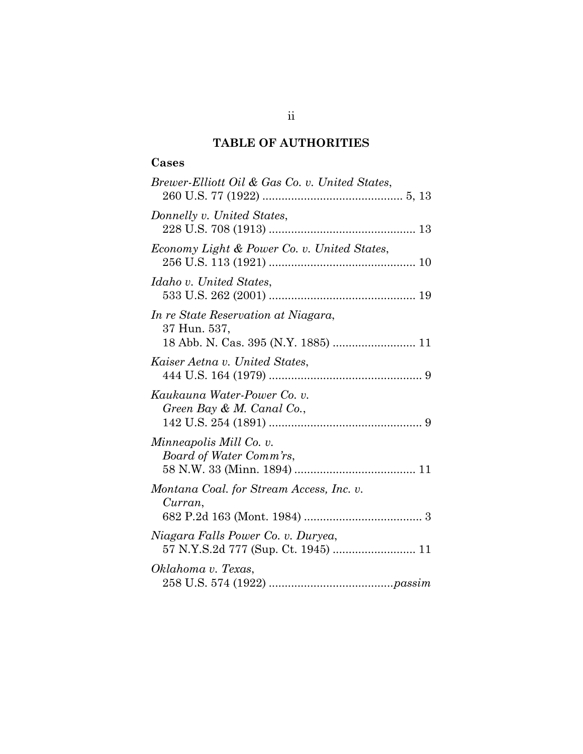## **TABLE OF AUTHORITIES**

## **Cases**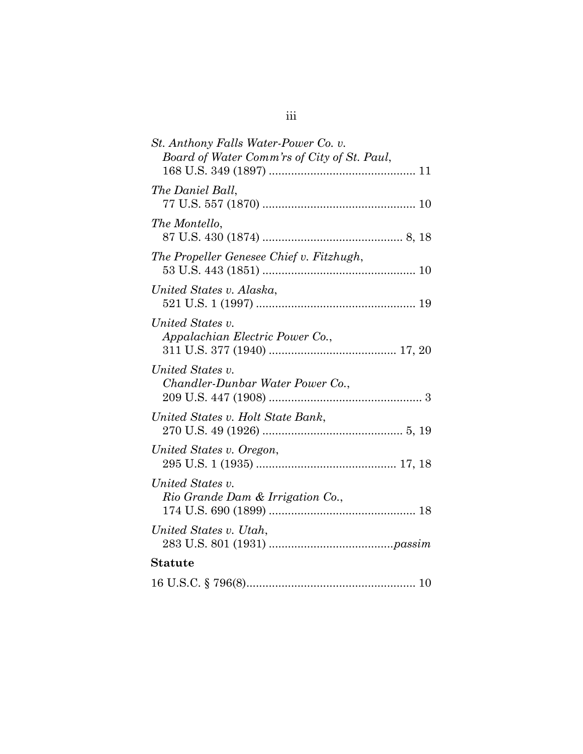| St. Anthony Falls Water-Power Co. v.<br>Board of Water Comm'rs of City of St. Paul, |
|-------------------------------------------------------------------------------------|
| The Daniel Ball,                                                                    |
| The Montello,                                                                       |
| The Propeller Genesee Chief v. Fitzhugh,                                            |
| United States v. Alaska,                                                            |
| United States v.<br>Appalachian Electric Power Co.,                                 |
| United States v.<br>Chandler-Dunbar Water Power Co.,                                |
| United States v. Holt State Bank,                                                   |
| United States v. Oregon,                                                            |
| United States v.<br>Rio Grande Dam & Irrigation Co.,                                |
| United States v. Utah,                                                              |
| Statute                                                                             |
|                                                                                     |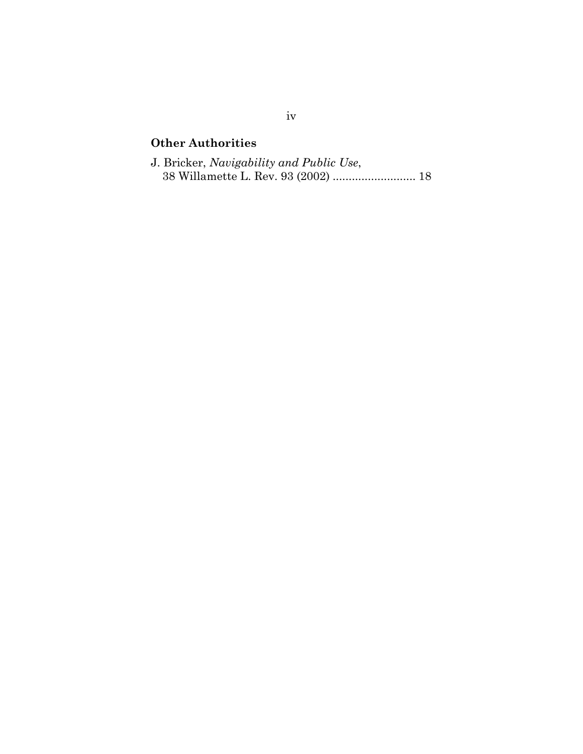## **Other Authorities**

J. Bricker, *Navigability and Public Use*, 38 Willamette L. Rev. 93 (2002) .......................... 18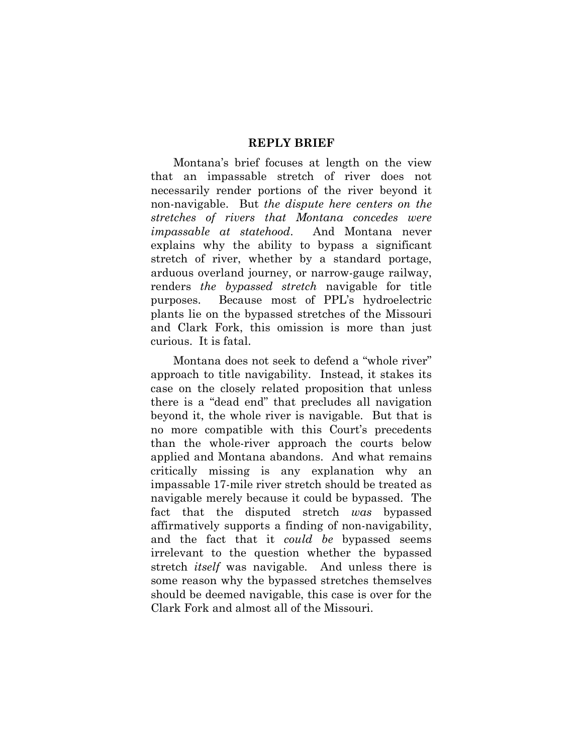#### **REPLY BRIEF**

Montana's brief focuses at length on the view that an impassable stretch of river does not necessarily render portions of the river beyond it non-navigable. But *the dispute here centers on the stretches of rivers that Montana concedes were impassable at statehood*. And Montana never explains why the ability to bypass a significant stretch of river, whether by a standard portage, arduous overland journey, or narrow-gauge railway, renders *the bypassed stretch* navigable for title purposes. Because most of PPL's hydroelectric plants lie on the bypassed stretches of the Missouri and Clark Fork, this omission is more than just curious. It is fatal.

Montana does not seek to defend a "whole river" approach to title navigability. Instead, it stakes its case on the closely related proposition that unless there is a "dead end" that precludes all navigation beyond it, the whole river is navigable. But that is no more compatible with this Court's precedents than the whole-river approach the courts below applied and Montana abandons. And what remains critically missing is any explanation why an impassable 17-mile river stretch should be treated as navigable merely because it could be bypassed. The fact that the disputed stretch *was* bypassed affirmatively supports a finding of non-navigability, and the fact that it *could be* bypassed seems irrelevant to the question whether the bypassed stretch *itself* was navigable. And unless there is some reason why the bypassed stretches themselves should be deemed navigable, this case is over for the Clark Fork and almost all of the Missouri.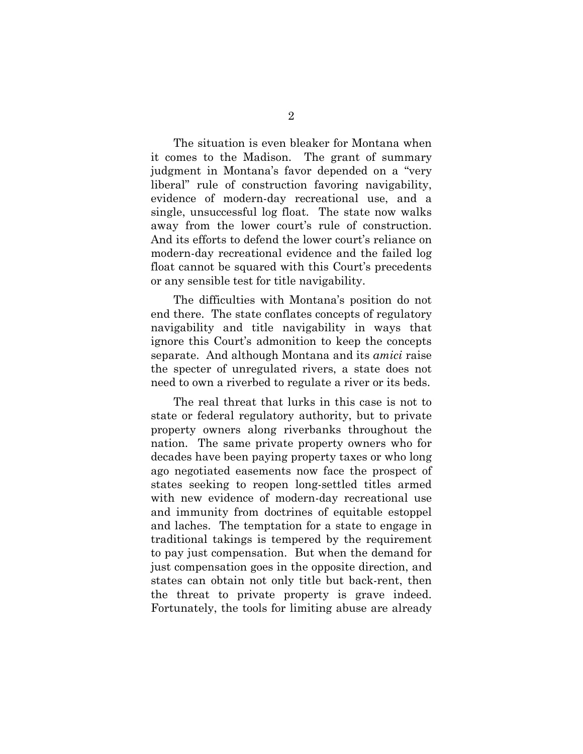The situation is even bleaker for Montana when it comes to the Madison. The grant of summary judgment in Montana's favor depended on a "very liberal" rule of construction favoring navigability, evidence of modern-day recreational use, and a single, unsuccessful log float. The state now walks away from the lower court's rule of construction. And its efforts to defend the lower court's reliance on modern-day recreational evidence and the failed log float cannot be squared with this Court's precedents or any sensible test for title navigability.

The difficulties with Montana's position do not end there. The state conflates concepts of regulatory navigability and title navigability in ways that ignore this Court's admonition to keep the concepts separate. And although Montana and its *amici* raise the specter of unregulated rivers, a state does not need to own a riverbed to regulate a river or its beds.

The real threat that lurks in this case is not to state or federal regulatory authority, but to private property owners along riverbanks throughout the nation. The same private property owners who for decades have been paying property taxes or who long ago negotiated easements now face the prospect of states seeking to reopen long-settled titles armed with new evidence of modern-day recreational use and immunity from doctrines of equitable estoppel and laches. The temptation for a state to engage in traditional takings is tempered by the requirement to pay just compensation. But when the demand for just compensation goes in the opposite direction, and states can obtain not only title but back-rent, then the threat to private property is grave indeed. Fortunately, the tools for limiting abuse are already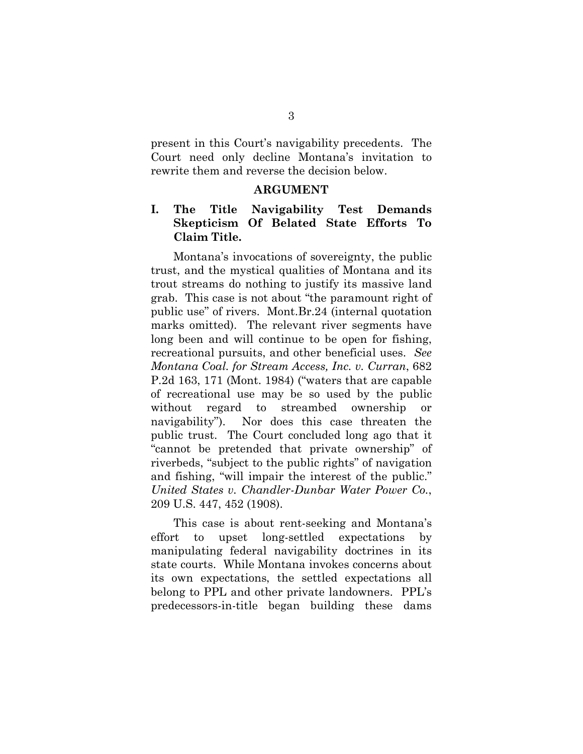present in this Court's navigability precedents. The Court need only decline Montana's invitation to rewrite them and reverse the decision below.

#### **ARGUMENT**

### **I. The Title Navigability Test Demands Skepticism Of Belated State Efforts To Claim Title.**

Montana's invocations of sovereignty, the public trust, and the mystical qualities of Montana and its trout streams do nothing to justify its massive land grab. This case is not about "the paramount right of public use" of rivers. Mont.Br.24 (internal quotation marks omitted). The relevant river segments have long been and will continue to be open for fishing, recreational pursuits, and other beneficial uses. *See Montana Coal. for Stream Access, Inc. v. Curran*, 682 P.2d 163, 171 (Mont. 1984) ("waters that are capable of recreational use may be so used by the public without regard to streambed ownership or navigability"). Nor does this case threaten the public trust. The Court concluded long ago that it "cannot be pretended that private ownership" of riverbeds, "subject to the public rights" of navigation and fishing, "will impair the interest of the public." *United States v. Chandler-Dunbar Water Power Co.*, 209 U.S. 447, 452 (1908).

This case is about rent-seeking and Montana's effort to upset long-settled expectations by manipulating federal navigability doctrines in its state courts. While Montana invokes concerns about its own expectations, the settled expectations all belong to PPL and other private landowners. PPL's predecessors-in-title began building these dams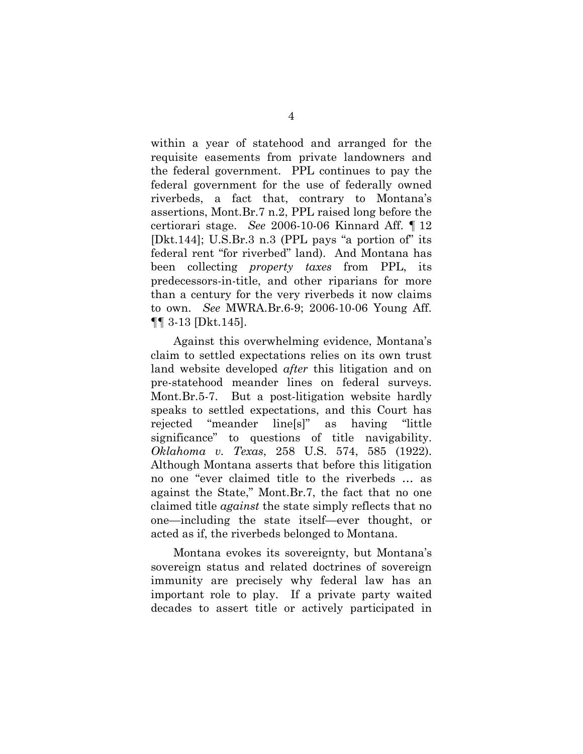within a year of statehood and arranged for the requisite easements from private landowners and the federal government. PPL continues to pay the federal government for the use of federally owned riverbeds, a fact that, contrary to Montana's assertions, Mont.Br.7 n.2, PPL raised long before the certiorari stage. *See* 2006-10-06 Kinnard Aff. ¶ 12 [Dkt.144]; U.S.Br.3 n.3 (PPL pays "a portion of" its federal rent "for riverbed" land). And Montana has been collecting *property taxes* from PPL, its predecessors-in-title, and other riparians for more than a century for the very riverbeds it now claims to own. *See* MWRA.Br.6-9; 2006-10-06 Young Aff. ¶¶ 3-13 [Dkt.145].

Against this overwhelming evidence, Montana's claim to settled expectations relies on its own trust land website developed *after* this litigation and on pre-statehood meander lines on federal surveys. Mont.Br.5-7. But a post-litigation website hardly speaks to settled expectations, and this Court has rejected "meander line[s]" as having "little significance" to questions of title navigability. *Oklahoma v. Texas*, 258 U.S. 574, 585 (1922). Although Montana asserts that before this litigation no one "ever claimed title to the riverbeds … as against the State," Mont.Br.7, the fact that no one claimed title *against* the state simply reflects that no one—including the state itself—ever thought, or acted as if, the riverbeds belonged to Montana.

Montana evokes its sovereignty, but Montana's sovereign status and related doctrines of sovereign immunity are precisely why federal law has an important role to play. If a private party waited decades to assert title or actively participated in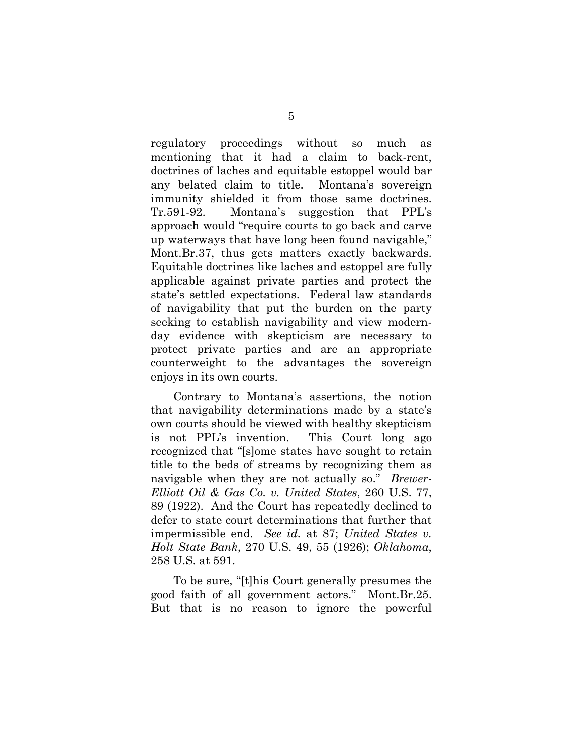regulatory proceedings without so much as mentioning that it had a claim to back-rent, doctrines of laches and equitable estoppel would bar any belated claim to title. Montana's sovereign immunity shielded it from those same doctrines. Tr.591-92. Montana's suggestion that PPL's approach would "require courts to go back and carve up waterways that have long been found navigable," Mont.Br.37, thus gets matters exactly backwards. Equitable doctrines like laches and estoppel are fully applicable against private parties and protect the state's settled expectations. Federal law standards of navigability that put the burden on the party seeking to establish navigability and view modernday evidence with skepticism are necessary to protect private parties and are an appropriate counterweight to the advantages the sovereign enjoys in its own courts.

Contrary to Montana's assertions, the notion that navigability determinations made by a state's own courts should be viewed with healthy skepticism is not PPL's invention. This Court long ago recognized that "[s]ome states have sought to retain title to the beds of streams by recognizing them as navigable when they are not actually so." *Brewer-Elliott Oil & Gas Co. v. United States*, 260 U.S. 77, 89 (1922). And the Court has repeatedly declined to defer to state court determinations that further that impermissible end. *See id.* at 87; *United States v. Holt State Bank*, 270 U.S. 49, 55 (1926); *Oklahoma*, 258 U.S. at 591.

To be sure, "[t]his Court generally presumes the good faith of all government actors." Mont.Br.25. But that is no reason to ignore the powerful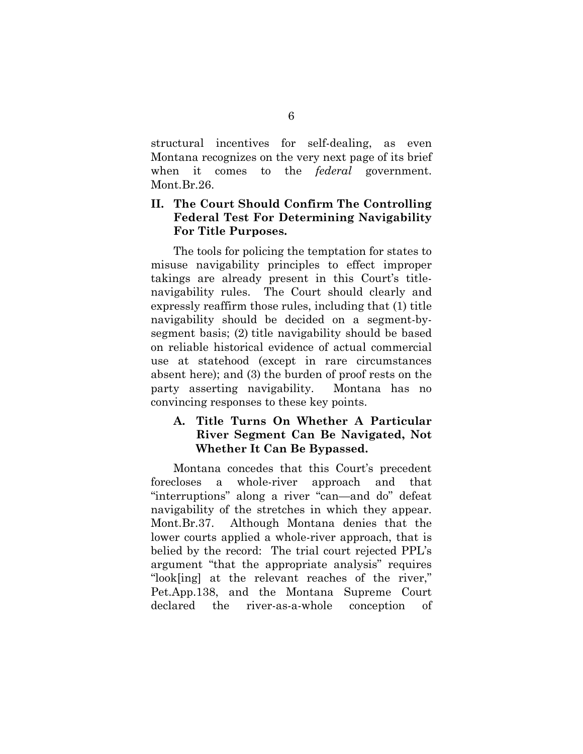structural incentives for self-dealing, as even Montana recognizes on the very next page of its brief when it comes to the *federal* government. Mont.Br.26.

#### **II. The Court Should Confirm The Controlling Federal Test For Determining Navigability For Title Purposes.**

The tools for policing the temptation for states to misuse navigability principles to effect improper takings are already present in this Court's titlenavigability rules. The Court should clearly and expressly reaffirm those rules, including that (1) title navigability should be decided on a segment-bysegment basis; (2) title navigability should be based on reliable historical evidence of actual commercial use at statehood (except in rare circumstances absent here); and (3) the burden of proof rests on the party asserting navigability. Montana has no convincing responses to these key points.

### **A. Title Turns On Whether A Particular River Segment Can Be Navigated, Not Whether It Can Be Bypassed.**

Montana concedes that this Court's precedent forecloses a whole-river approach and that "interruptions" along a river "can—and do" defeat navigability of the stretches in which they appear. Mont.Br.37. Although Montana denies that the lower courts applied a whole-river approach, that is belied by the record: The trial court rejected PPL's argument "that the appropriate analysis" requires "look[ing] at the relevant reaches of the river," Pet.App.138, and the Montana Supreme Court declared the river-as-a-whole conception of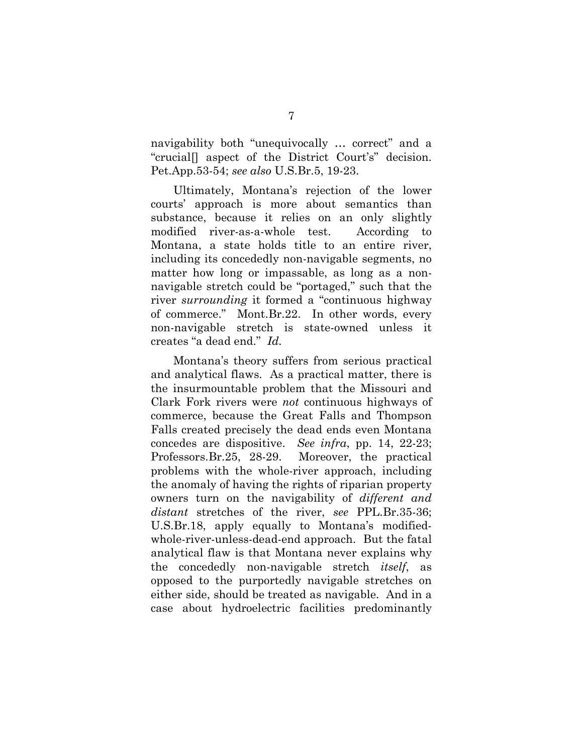navigability both "unequivocally … correct" and a "crucial[] aspect of the District Court's" decision. Pet.App.53-54; *see also* U.S.Br.5, 19-23.

Ultimately, Montana's rejection of the lower courts' approach is more about semantics than substance, because it relies on an only slightly modified river-as-a-whole test. According to Montana, a state holds title to an entire river, including its concededly non-navigable segments, no matter how long or impassable, as long as a nonnavigable stretch could be "portaged," such that the river *surrounding* it formed a "continuous highway of commerce." Mont.Br.22. In other words, every non-navigable stretch is state-owned unless it creates "a dead end." *Id.*

Montana's theory suffers from serious practical and analytical flaws. As a practical matter, there is the insurmountable problem that the Missouri and Clark Fork rivers were *not* continuous highways of commerce, because the Great Falls and Thompson Falls created precisely the dead ends even Montana concedes are dispositive. *See infra*, pp. 14, 22-23; Professors.Br.25, 28-29. Moreover, the practical problems with the whole-river approach, including the anomaly of having the rights of riparian property owners turn on the navigability of *different and distant* stretches of the river, *see* PPL.Br.35-36; U.S.Br.18, apply equally to Montana's modifiedwhole-river-unless-dead-end approach. But the fatal analytical flaw is that Montana never explains why the concededly non-navigable stretch *itself*, as opposed to the purportedly navigable stretches on either side, should be treated as navigable. And in a case about hydroelectric facilities predominantly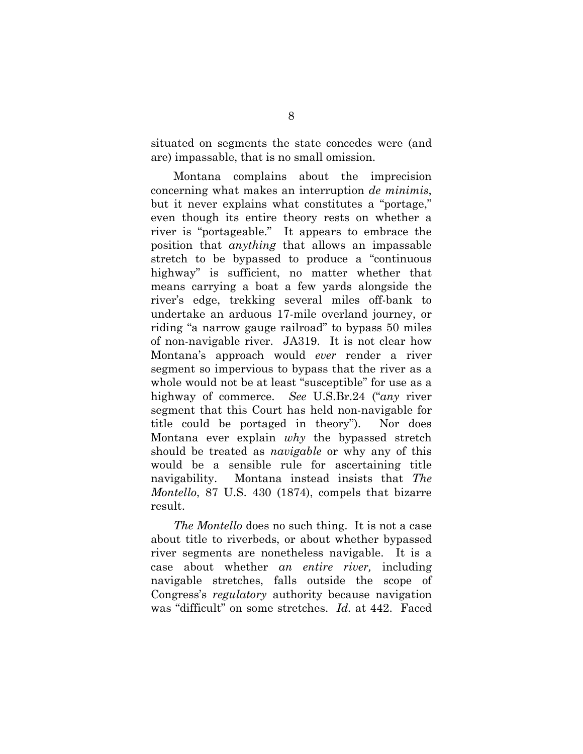situated on segments the state concedes were (and are) impassable, that is no small omission.

Montana complains about the imprecision concerning what makes an interruption *de minimis*, but it never explains what constitutes a "portage," even though its entire theory rests on whether a river is "portageable." It appears to embrace the position that *anything* that allows an impassable stretch to be bypassed to produce a "continuous highway" is sufficient, no matter whether that means carrying a boat a few yards alongside the river's edge, trekking several miles off-bank to undertake an arduous 17-mile overland journey, or riding "a narrow gauge railroad" to bypass 50 miles of non-navigable river. JA319. It is not clear how Montana's approach would *ever* render a river segment so impervious to bypass that the river as a whole would not be at least "susceptible" for use as a highway of commerce. *See* U.S.Br.24 ("*any* river segment that this Court has held non-navigable for title could be portaged in theory"). Nor does Montana ever explain *why* the bypassed stretch should be treated as *navigable* or why any of this would be a sensible rule for ascertaining title navigability. Montana instead insists that *The Montello*, 87 U.S. 430 (1874), compels that bizarre result.

*The Montello* does no such thing. It is not a case about title to riverbeds, or about whether bypassed river segments are nonetheless navigable. It is a case about whether *an entire river,* including navigable stretches, falls outside the scope of Congress's *regulatory* authority because navigation was "difficult" on some stretches. *Id.* at 442. Faced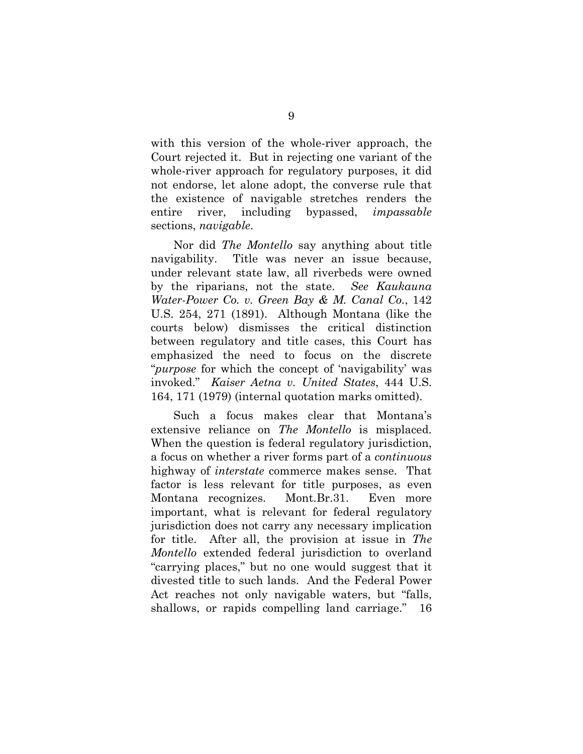with this version of the whole-river approach, the Court rejected it. But in rejecting one variant of the whole-river approach for regulatory purposes, it did not endorse, let alone adopt, the converse rule that the existence of navigable stretches renders the entire river, including bypassed, *impassable* sections, *navigable*.

Nor did *The Montello* say anything about title navigability. Title was never an issue because, under relevant state law, all riverbeds were owned by the riparians, not the state. *See Kaukauna Water-Power Co. v. Green Bay & M. Canal Co.*, 142 U.S. 254, 271 (1891). Although Montana (like the courts below) dismisses the critical distinction between regulatory and title cases, this Court has emphasized the need to focus on the discrete "*purpose* for which the concept of 'navigability' was invoked." *Kaiser Aetna v. United States*, 444 U.S. 164, 171 (1979) (internal quotation marks omitted).

Such a focus makes clear that Montana's extensive reliance on *The Montello* is misplaced. When the question is federal regulatory jurisdiction, a focus on whether a river forms part of a *continuous*  highway of *interstate* commerce makes sense. That factor is less relevant for title purposes, as even Montana recognizes. Mont.Br.31. Even more important, what is relevant for federal regulatory jurisdiction does not carry any necessary implication for title. After all, the provision at issue in *The Montello* extended federal jurisdiction to overland "carrying places," but no one would suggest that it divested title to such lands. And the Federal Power Act reaches not only navigable waters, but "falls, shallows, or rapids compelling land carriage." 16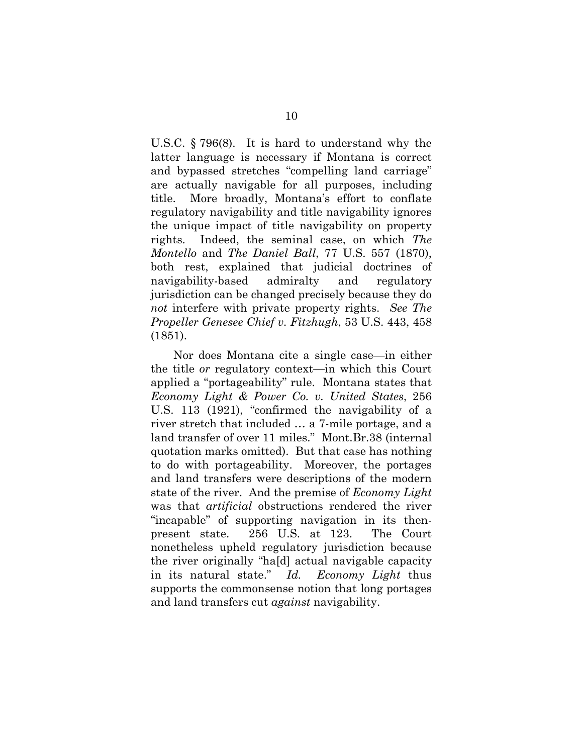U.S.C. § 796(8). It is hard to understand why the latter language is necessary if Montana is correct and bypassed stretches "compelling land carriage" are actually navigable for all purposes, including title. More broadly, Montana's effort to conflate regulatory navigability and title navigability ignores the unique impact of title navigability on property rights. Indeed, the seminal case, on which *The Montello* and *The Daniel Ball*, 77 U.S. 557 (1870), both rest, explained that judicial doctrines of navigability-based admiralty and regulatory jurisdiction can be changed precisely because they do *not* interfere with private property rights. *See The Propeller Genesee Chief v. Fitzhugh*, 53 U.S. 443, 458 (1851).

Nor does Montana cite a single case—in either the title *or* regulatory context—in which this Court applied a "portageability" rule. Montana states that *Economy Light & Power Co. v. United States*, 256 U.S. 113 (1921), "confirmed the navigability of a river stretch that included … a 7-mile portage, and a land transfer of over 11 miles." Mont.Br.38 (internal quotation marks omitted). But that case has nothing to do with portageability. Moreover, the portages and land transfers were descriptions of the modern state of the river. And the premise of *Economy Light* was that *artificial* obstructions rendered the river "incapable" of supporting navigation in its thenpresent state. 256 U.S. at 123. The Court nonetheless upheld regulatory jurisdiction because the river originally "ha[d] actual navigable capacity in its natural state." *Id. Economy Light* thus supports the commonsense notion that long portages and land transfers cut *against* navigability.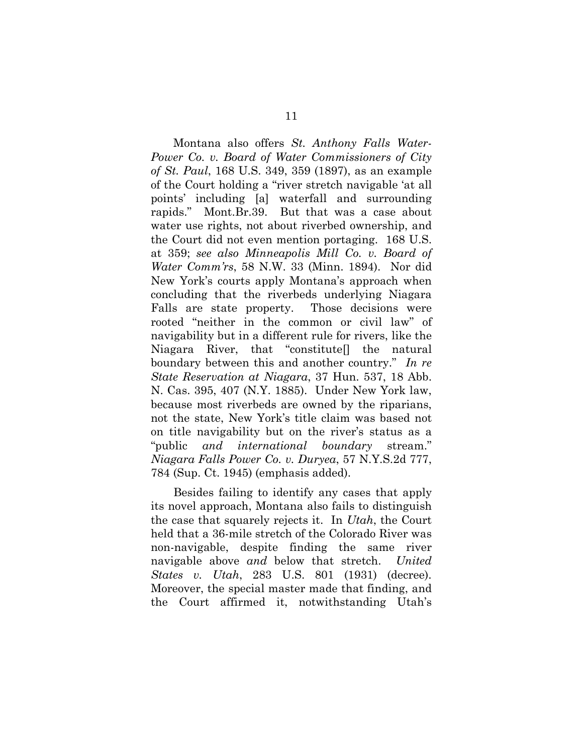Montana also offers *St. Anthony Falls Water-Power Co. v. Board of Water Commissioners of City of St. Paul*, 168 U.S. 349, 359 (1897), as an example of the Court holding a "river stretch navigable 'at all points' including [a] waterfall and surrounding rapids." Mont.Br.39. But that was a case about water use rights, not about riverbed ownership, and the Court did not even mention portaging. 168 U.S. at 359; *see also Minneapolis Mill Co. v. Board of Water Comm'rs*, 58 N.W. 33 (Minn. 1894). Nor did New York's courts apply Montana's approach when concluding that the riverbeds underlying Niagara Falls are state property. Those decisions were rooted "neither in the common or civil law" of navigability but in a different rule for rivers, like the Niagara River, that "constitute[] the natural boundary between this and another country." *In re State Reservation at Niagara*, 37 Hun. 537, 18 Abb. N. Cas. 395, 407 (N.Y. 1885). Under New York law, because most riverbeds are owned by the riparians, not the state, New York's title claim was based not on title navigability but on the river's status as a "public *and international boundary* stream." *Niagara Falls Power Co. v. Duryea*, 57 N.Y.S.2d 777, 784 (Sup. Ct. 1945) (emphasis added).

Besides failing to identify any cases that apply its novel approach, Montana also fails to distinguish the case that squarely rejects it. In *Utah*, the Court held that a 36-mile stretch of the Colorado River was non-navigable, despite finding the same river navigable above *and* below that stretch. *United States v. Utah*, 283 U.S. 801 (1931) (decree). Moreover, the special master made that finding, and the Court affirmed it, notwithstanding Utah's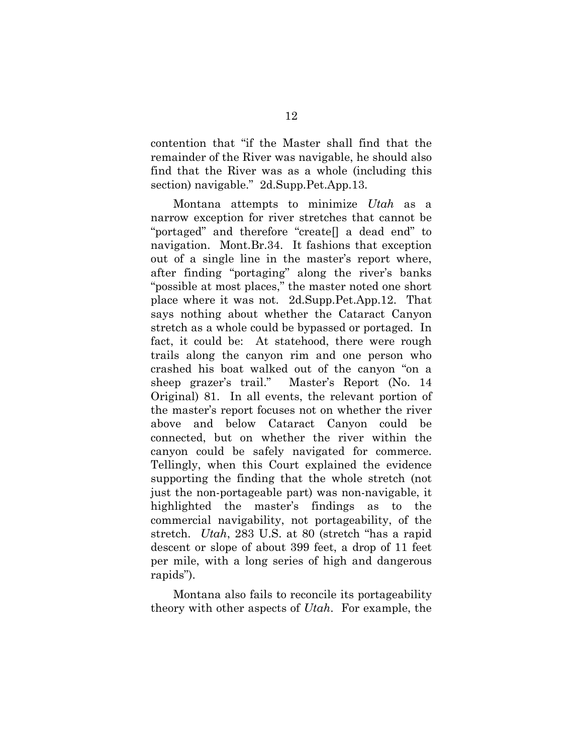contention that "if the Master shall find that the remainder of the River was navigable, he should also find that the River was as a whole (including this section) navigable." 2d.Supp.Pet.App.13.

Montana attempts to minimize *Utah* as a narrow exception for river stretches that cannot be "portaged" and therefore "create[] a dead end" to navigation. Mont.Br.34. It fashions that exception out of a single line in the master's report where, after finding "portaging" along the river's banks "possible at most places," the master noted one short place where it was not. 2d.Supp.Pet.App.12. That says nothing about whether the Cataract Canyon stretch as a whole could be bypassed or portaged. In fact, it could be: At statehood, there were rough trails along the canyon rim and one person who crashed his boat walked out of the canyon "on a sheep grazer's trail." Master's Report (No. 14 Original) 81. In all events, the relevant portion of the master's report focuses not on whether the river above and below Cataract Canyon could be connected, but on whether the river within the canyon could be safely navigated for commerce. Tellingly, when this Court explained the evidence supporting the finding that the whole stretch (not just the non-portageable part) was non-navigable, it highlighted the master's findings as to the commercial navigability, not portageability, of the stretch. *Utah*, 283 U.S. at 80 (stretch "has a rapid descent or slope of about 399 feet, a drop of 11 feet per mile, with a long series of high and dangerous rapids").

Montana also fails to reconcile its portageability theory with other aspects of *Utah*. For example, the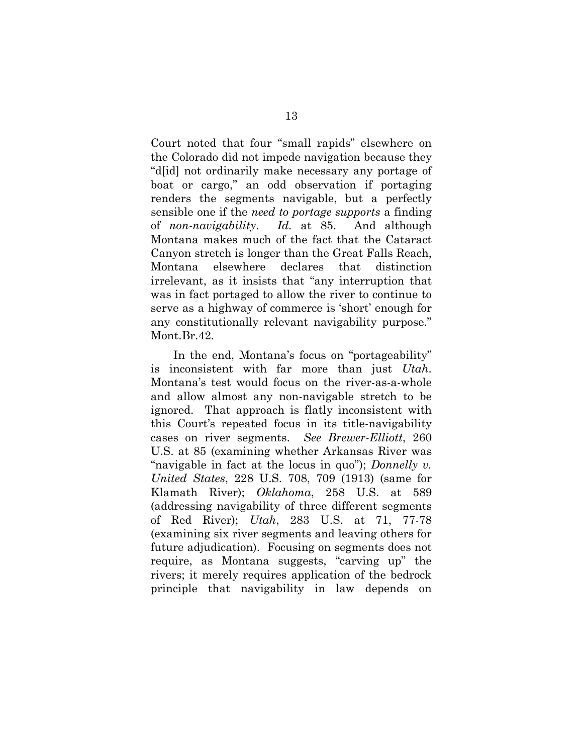Court noted that four "small rapids" elsewhere on the Colorado did not impede navigation because they "d[id] not ordinarily make necessary any portage of boat or cargo," an odd observation if portaging renders the segments navigable, but a perfectly sensible one if the *need to portage supports* a finding of *non-navigability*. *Id.* at 85. And although Montana makes much of the fact that the Cataract Canyon stretch is longer than the Great Falls Reach, Montana elsewhere declares that distinction irrelevant, as it insists that "any interruption that was in fact portaged to allow the river to continue to serve as a highway of commerce is 'short' enough for any constitutionally relevant navigability purpose." Mont.Br.42.

In the end, Montana's focus on "portageability" is inconsistent with far more than just *Utah*. Montana's test would focus on the river-as-a-whole and allow almost any non-navigable stretch to be ignored. That approach is flatly inconsistent with this Court's repeated focus in its title-navigability cases on river segments. *See Brewer-Elliott*, 260 U.S. at 85 (examining whether Arkansas River was "navigable in fact at the locus in quo"); *Donnelly v. United States*, 228 U.S. 708, 709 (1913) (same for Klamath River); *Oklahoma*, 258 U.S. at 589 (addressing navigability of three different segments of Red River); *Utah*, 283 U.S. at 71, 77-78 (examining six river segments and leaving others for future adjudication). Focusing on segments does not require, as Montana suggests, "carving up" the rivers; it merely requires application of the bedrock principle that navigability in law depends on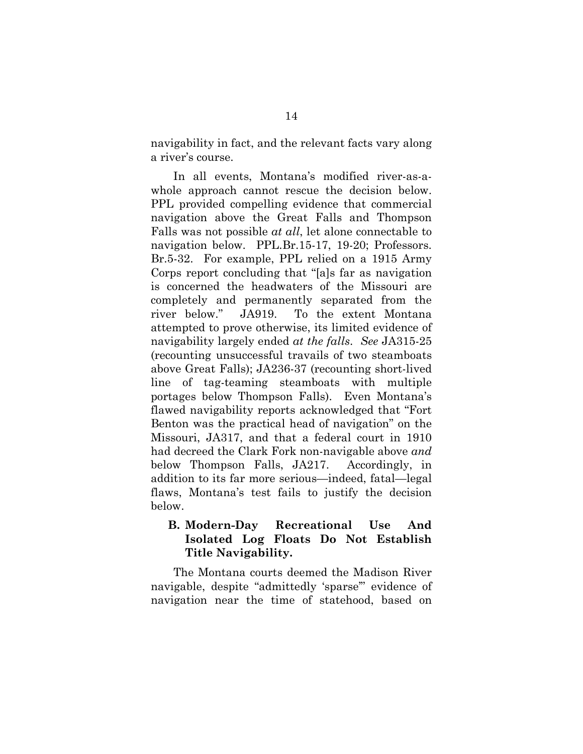navigability in fact, and the relevant facts vary along a river's course.

In all events, Montana's modified river-as-awhole approach cannot rescue the decision below. PPL provided compelling evidence that commercial navigation above the Great Falls and Thompson Falls was not possible *at all*, let alone connectable to navigation below. PPL.Br.15-17, 19-20; Professors. Br.5-32. For example, PPL relied on a 1915 Army Corps report concluding that "[a]s far as navigation is concerned the headwaters of the Missouri are completely and permanently separated from the river below." JA919. To the extent Montana attempted to prove otherwise, its limited evidence of navigability largely ended *at the falls*. *See* JA315-25 (recounting unsuccessful travails of two steamboats above Great Falls); JA236-37 (recounting short-lived line of tag-teaming steamboats with multiple portages below Thompson Falls). Even Montana's flawed navigability reports acknowledged that "Fort Benton was the practical head of navigation" on the Missouri, JA317, and that a federal court in 1910 had decreed the Clark Fork non-navigable above *and*  below Thompson Falls, JA217. Accordingly, in addition to its far more serious—indeed, fatal—legal flaws, Montana's test fails to justify the decision below.

### **B. Modern-Day Recreational Use And Isolated Log Floats Do Not Establish Title Navigability.**

The Montana courts deemed the Madison River navigable, despite "admittedly 'sparse'" evidence of navigation near the time of statehood, based on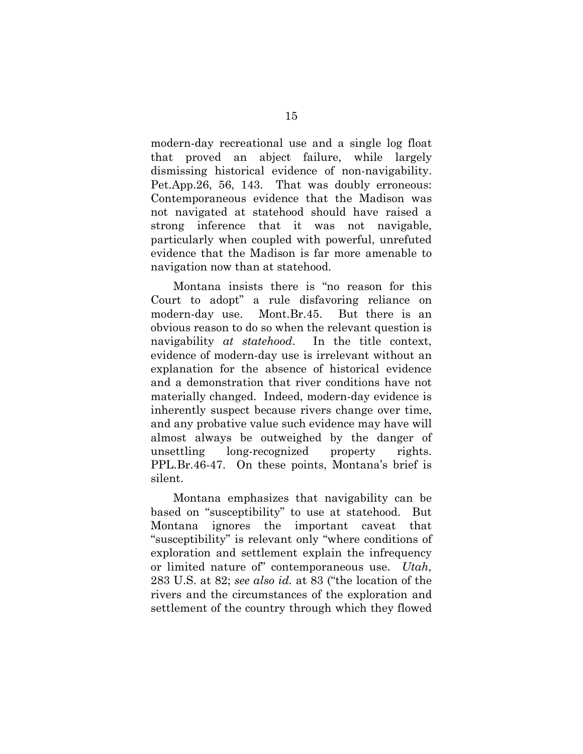modern-day recreational use and a single log float that proved an abject failure, while largely dismissing historical evidence of non-navigability. Pet.App.26, 56, 143. That was doubly erroneous: Contemporaneous evidence that the Madison was not navigated at statehood should have raised a strong inference that it was not navigable, particularly when coupled with powerful, unrefuted evidence that the Madison is far more amenable to navigation now than at statehood.

Montana insists there is "no reason for this Court to adopt" a rule disfavoring reliance on modern-day use. Mont.Br.45. But there is an obvious reason to do so when the relevant question is navigability *at statehood*. In the title context, evidence of modern-day use is irrelevant without an explanation for the absence of historical evidence and a demonstration that river conditions have not materially changed. Indeed, modern-day evidence is inherently suspect because rivers change over time, and any probative value such evidence may have will almost always be outweighed by the danger of unsettling long-recognized property rights. PPL.Br.46-47. On these points, Montana's brief is silent.

Montana emphasizes that navigability can be based on "susceptibility" to use at statehood. But Montana ignores the important caveat that "susceptibility" is relevant only "where conditions of exploration and settlement explain the infrequency or limited nature of" contemporaneous use. *Utah*, 283 U.S. at 82; *see also id.* at 83 ("the location of the rivers and the circumstances of the exploration and settlement of the country through which they flowed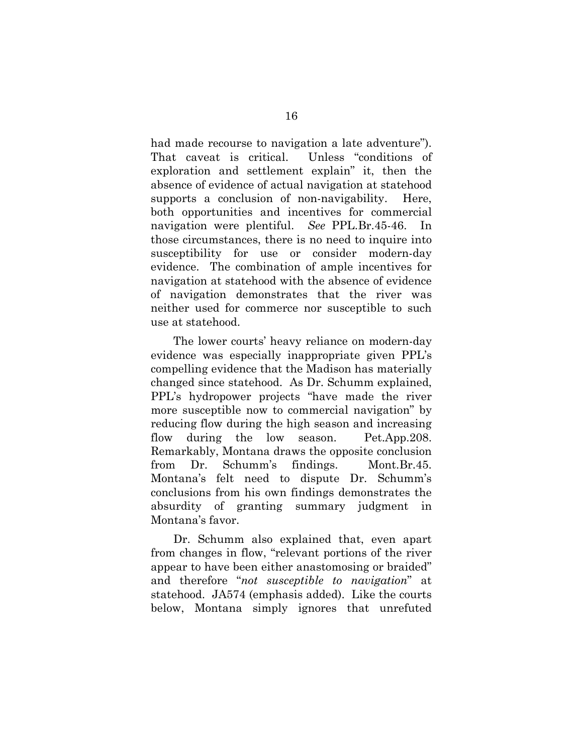had made recourse to navigation a late adventure"). That caveat is critical. Unless "conditions of exploration and settlement explain" it, then the absence of evidence of actual navigation at statehood supports a conclusion of non-navigability. Here, both opportunities and incentives for commercial navigation were plentiful. *See* PPL.Br.45-46. In those circumstances, there is no need to inquire into susceptibility for use or consider modern-day evidence. The combination of ample incentives for navigation at statehood with the absence of evidence of navigation demonstrates that the river was neither used for commerce nor susceptible to such use at statehood.

The lower courts' heavy reliance on modern-day evidence was especially inappropriate given PPL's compelling evidence that the Madison has materially changed since statehood. As Dr. Schumm explained, PPL's hydropower projects "have made the river more susceptible now to commercial navigation" by reducing flow during the high season and increasing flow during the low season. Pet.App.208. Remarkably, Montana draws the opposite conclusion from Dr. Schumm's findings. Mont.Br.45. Montana's felt need to dispute Dr. Schumm's conclusions from his own findings demonstrates the absurdity of granting summary judgment in Montana's favor.

Dr. Schumm also explained that, even apart from changes in flow, "relevant portions of the river appear to have been either anastomosing or braided" and therefore "*not susceptible to navigation*" at statehood. JA574 (emphasis added). Like the courts below, Montana simply ignores that unrefuted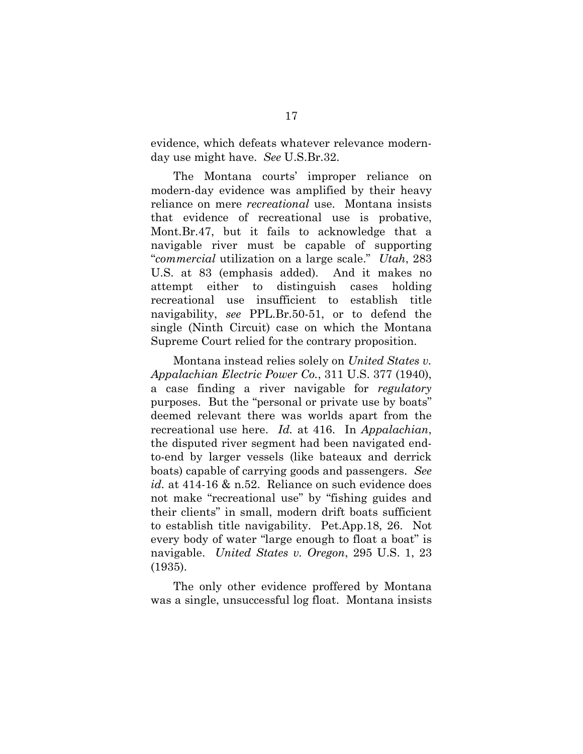evidence, which defeats whatever relevance modernday use might have. *See* U.S.Br.32.

The Montana courts' improper reliance on modern-day evidence was amplified by their heavy reliance on mere *recreational* use. Montana insists that evidence of recreational use is probative, Mont.Br.47, but it fails to acknowledge that a navigable river must be capable of supporting "*commercial* utilization on a large scale." *Utah*, 283 U.S. at 83 (emphasis added). And it makes no attempt either to distinguish cases holding recreational use insufficient to establish title navigability, *see* PPL.Br.50-51, or to defend the single (Ninth Circuit) case on which the Montana Supreme Court relied for the contrary proposition.

Montana instead relies solely on *United States v. Appalachian Electric Power Co.*, 311 U.S. 377 (1940), a case finding a river navigable for *regulatory* purposes. But the "personal or private use by boats" deemed relevant there was worlds apart from the recreational use here. *Id.* at 416. In *Appalachian*, the disputed river segment had been navigated endto-end by larger vessels (like bateaux and derrick boats) capable of carrying goods and passengers. *See id.* at 414-16 & n.52. Reliance on such evidence does not make "recreational use" by "fishing guides and their clients" in small, modern drift boats sufficient to establish title navigability. Pet.App.18, 26. Not every body of water "large enough to float a boat" is navigable. *United States v. Oregon*, 295 U.S. 1, 23 (1935).

The only other evidence proffered by Montana was a single, unsuccessful log float. Montana insists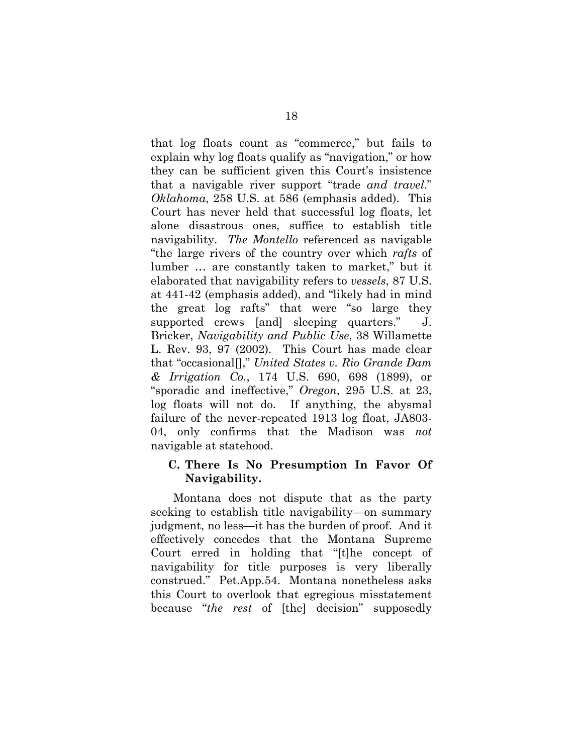that log floats count as "commerce," but fails to explain why log floats qualify as "navigation," or how they can be sufficient given this Court's insistence that a navigable river support "trade *and travel*." *Oklahoma*, 258 U.S. at 586 (emphasis added). This Court has never held that successful log floats, let alone disastrous ones, suffice to establish title navigability. *The Montello* referenced as navigable "the large rivers of the country over which *rafts* of lumber … are constantly taken to market," but it elaborated that navigability refers to *vessels*, 87 U.S. at 441-42 (emphasis added), and "likely had in mind the great log rafts" that were "so large they supported crews [and] sleeping quarters." J. Bricker, *Navigability and Public Use*, 38 Willamette L. Rev. 93, 97 (2002). This Court has made clear that "occasional[]," *United States v. Rio Grande Dam & Irrigation Co.*, 174 U.S. 690, 698 (1899), or "sporadic and ineffective," *Oregon*, 295 U.S. at 23, log floats will not do. If anything, the abysmal failure of the never-repeated 1913 log float, JA803- 04, only confirms that the Madison was *not* navigable at statehood.

#### **C. There Is No Presumption In Favor Of Navigability.**

Montana does not dispute that as the party seeking to establish title navigability—on summary judgment, no less—it has the burden of proof. And it effectively concedes that the Montana Supreme Court erred in holding that "[t]he concept of navigability for title purposes is very liberally construed." Pet.App.54. Montana nonetheless asks this Court to overlook that egregious misstatement because "*the rest* of [the] decision" supposedly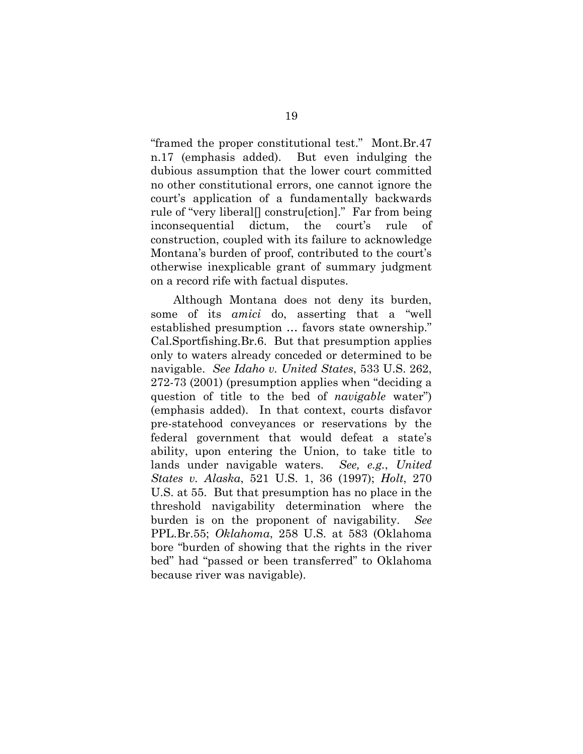"framed the proper constitutional test." Mont.Br.47 n.17 (emphasis added). But even indulging the dubious assumption that the lower court committed no other constitutional errors, one cannot ignore the court's application of a fundamentally backwards rule of "very liberal[] constru[ction]." Far from being inconsequential dictum, the court's rule construction, coupled with its failure to acknowledge Montana's burden of proof, contributed to the court's otherwise inexplicable grant of summary judgment on a record rife with factual disputes.

Although Montana does not deny its burden, some of its *amici* do, asserting that a "well established presumption … favors state ownership." Cal.Sportfishing.Br.6. But that presumption applies only to waters already conceded or determined to be navigable. *See Idaho v. United States*, 533 U.S. 262, 272-73 (2001) (presumption applies when "deciding a question of title to the bed of *navigable* water") (emphasis added). In that context, courts disfavor pre-statehood conveyances or reservations by the federal government that would defeat a state's ability, upon entering the Union, to take title to lands under navigable waters. *See, e.g.*, *United States v. Alaska*, 521 U.S. 1, 36 (1997); *Holt*, 270 U.S. at 55. But that presumption has no place in the threshold navigability determination where the burden is on the proponent of navigability. *See* PPL.Br.55; *Oklahoma*, 258 U.S. at 583 (Oklahoma bore "burden of showing that the rights in the river bed" had "passed or been transferred" to Oklahoma because river was navigable).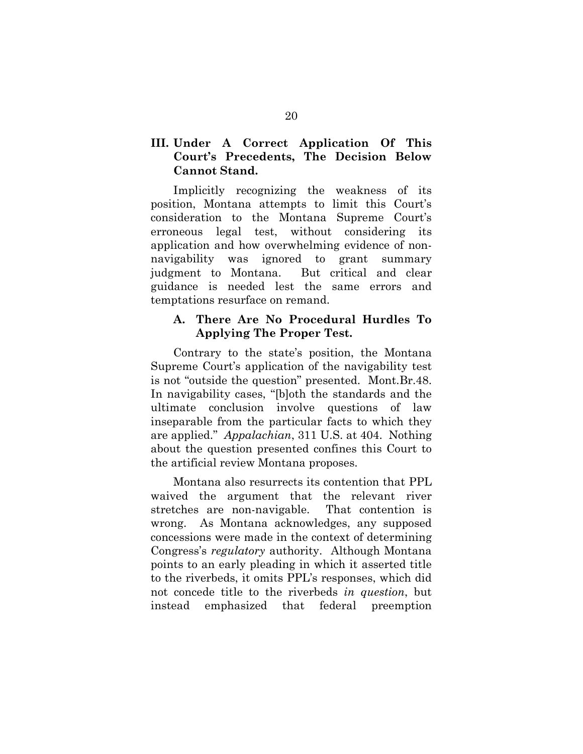### **III. Under A Correct Application Of This Court's Precedents, The Decision Below Cannot Stand.**

Implicitly recognizing the weakness of its position, Montana attempts to limit this Court's consideration to the Montana Supreme Court's erroneous legal test, without considering its application and how overwhelming evidence of nonnavigability was ignored to grant summary judgment to Montana. But critical and clear guidance is needed lest the same errors and temptations resurface on remand.

#### **A. There Are No Procedural Hurdles To Applying The Proper Test.**

Contrary to the state's position, the Montana Supreme Court's application of the navigability test is not "outside the question" presented. Mont.Br.48. In navigability cases, "[b]oth the standards and the ultimate conclusion involve questions of law inseparable from the particular facts to which they are applied." *Appalachian*, 311 U.S. at 404. Nothing about the question presented confines this Court to the artificial review Montana proposes.

Montana also resurrects its contention that PPL waived the argument that the relevant river stretches are non-navigable. That contention is wrong. As Montana acknowledges, any supposed concessions were made in the context of determining Congress's *regulatory* authority. Although Montana points to an early pleading in which it asserted title to the riverbeds, it omits PPL's responses, which did not concede title to the riverbeds *in question*, but instead emphasized that federal preemption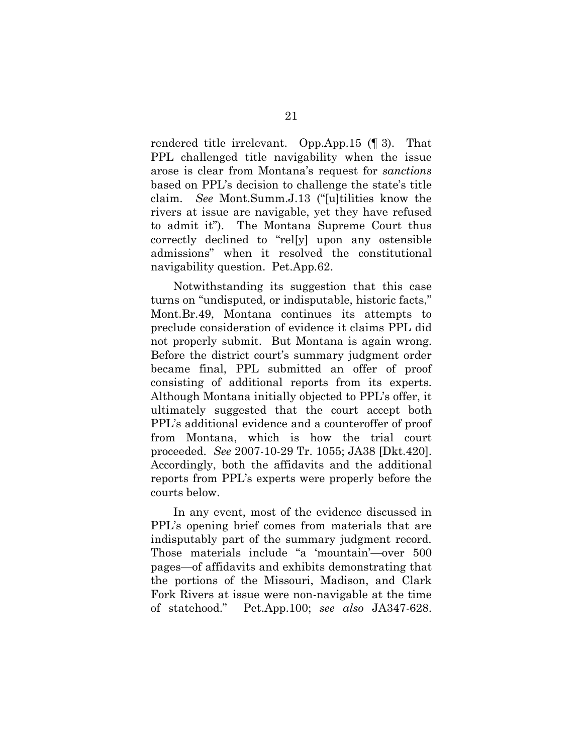rendered title irrelevant. Opp.App.15 (¶ 3). That PPL challenged title navigability when the issue arose is clear from Montana's request for *sanctions* based on PPL's decision to challenge the state's title claim. *See* Mont.Summ.J.13 ("[u]tilities know the rivers at issue are navigable, yet they have refused to admit it"). The Montana Supreme Court thus correctly declined to "rel[y] upon any ostensible admissions" when it resolved the constitutional navigability question. Pet.App.62.

Notwithstanding its suggestion that this case turns on "undisputed, or indisputable, historic facts," Mont.Br.49, Montana continues its attempts to preclude consideration of evidence it claims PPL did not properly submit. But Montana is again wrong. Before the district court's summary judgment order became final, PPL submitted an offer of proof consisting of additional reports from its experts. Although Montana initially objected to PPL's offer, it ultimately suggested that the court accept both PPL's additional evidence and a counteroffer of proof from Montana, which is how the trial court proceeded. *See* 2007-10-29 Tr. 1055; JA38 [Dkt.420]. Accordingly, both the affidavits and the additional reports from PPL's experts were properly before the courts below.

In any event, most of the evidence discussed in PPL's opening brief comes from materials that are indisputably part of the summary judgment record. Those materials include "a 'mountain'—over 500 pages—of affidavits and exhibits demonstrating that the portions of the Missouri, Madison, and Clark Fork Rivers at issue were non-navigable at the time of statehood." Pet.App.100; *see also* JA347-628.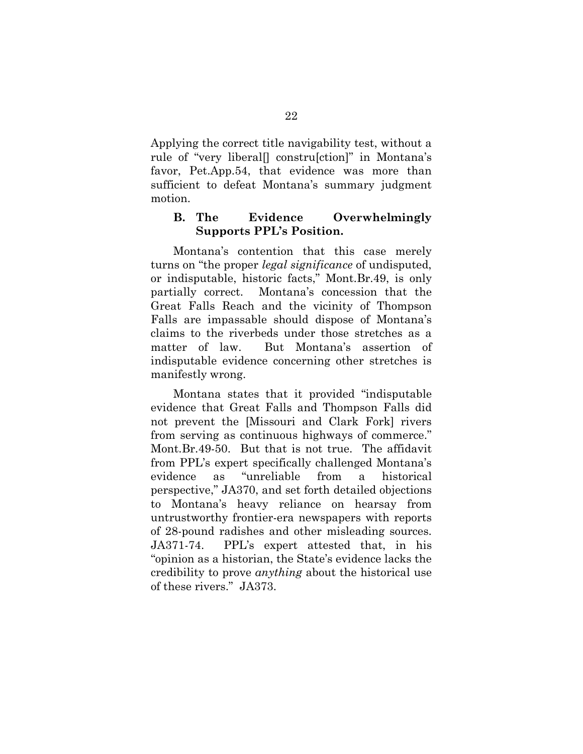Applying the correct title navigability test, without a rule of "very liberal[] constru[ction]" in Montana's favor, Pet.App.54, that evidence was more than sufficient to defeat Montana's summary judgment motion.

#### **B. The Evidence Overwhelmingly Supports PPL's Position.**

Montana's contention that this case merely turns on "the proper *legal significance* of undisputed, or indisputable, historic facts," Mont.Br.49, is only partially correct. Montana's concession that the Great Falls Reach and the vicinity of Thompson Falls are impassable should dispose of Montana's claims to the riverbeds under those stretches as a matter of law. But Montana's assertion of indisputable evidence concerning other stretches is manifestly wrong.

Montana states that it provided "indisputable evidence that Great Falls and Thompson Falls did not prevent the [Missouri and Clark Fork] rivers from serving as continuous highways of commerce." Mont.Br.49-50. But that is not true. The affidavit from PPL's expert specifically challenged Montana's evidence as "unreliable from a historical perspective," JA370, and set forth detailed objections to Montana's heavy reliance on hearsay from untrustworthy frontier-era newspapers with reports of 28-pound radishes and other misleading sources. JA371-74. PPL's expert attested that, in his "opinion as a historian, the State's evidence lacks the credibility to prove *anything* about the historical use of these rivers." JA373.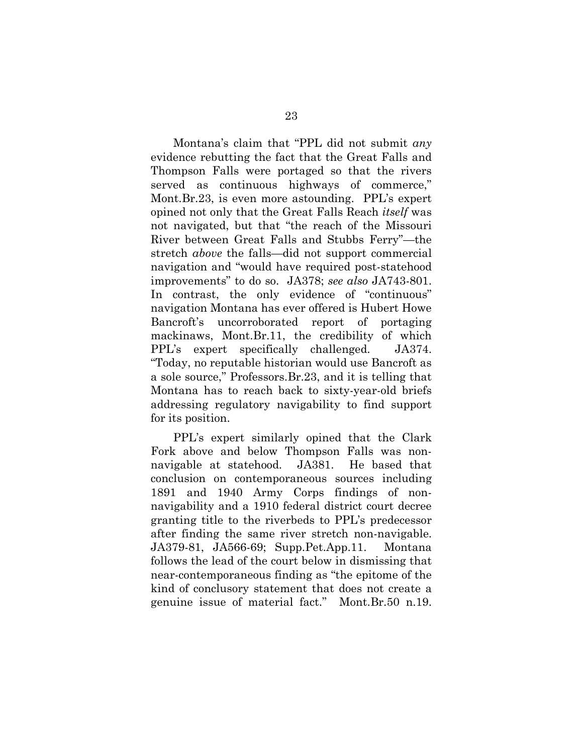Montana's claim that "PPL did not submit *any*  evidence rebutting the fact that the Great Falls and Thompson Falls were portaged so that the rivers served as continuous highways of commerce," Mont.Br.23, is even more astounding. PPL's expert opined not only that the Great Falls Reach *itself* was not navigated, but that "the reach of the Missouri River between Great Falls and Stubbs Ferry"—the stretch *above* the falls—did not support commercial navigation and "would have required post-statehood improvements" to do so. JA378; *see also* JA743-801. In contrast, the only evidence of "continuous" navigation Montana has ever offered is Hubert Howe Bancroft's uncorroborated report of portaging mackinaws, Mont.Br.11, the credibility of which PPL's expert specifically challenged. JA374. "Today, no reputable historian would use Bancroft as a sole source," Professors.Br.23, and it is telling that Montana has to reach back to sixty-year-old briefs addressing regulatory navigability to find support for its position.

PPL's expert similarly opined that the Clark Fork above and below Thompson Falls was nonnavigable at statehood. JA381. He based that conclusion on contemporaneous sources including 1891 and 1940 Army Corps findings of nonnavigability and a 1910 federal district court decree granting title to the riverbeds to PPL's predecessor after finding the same river stretch non-navigable. JA379-81, JA566-69; Supp.Pet.App.11. Montana follows the lead of the court below in dismissing that near-contemporaneous finding as "the epitome of the kind of conclusory statement that does not create a genuine issue of material fact." Mont.Br.50 n.19.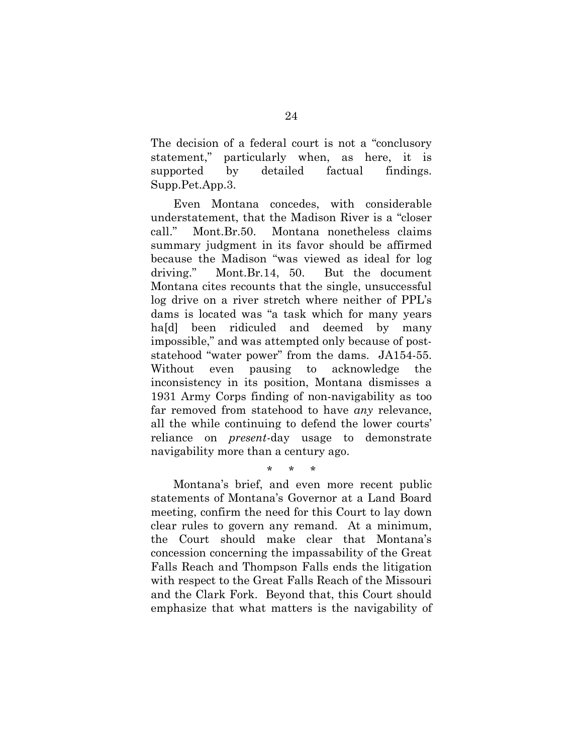The decision of a federal court is not a "conclusory statement," particularly when, as here, it is supported by detailed factual findings. Supp.Pet.App.3.

Even Montana concedes, with considerable understatement, that the Madison River is a "closer call." Mont.Br.50. Montana nonetheless claims summary judgment in its favor should be affirmed because the Madison "was viewed as ideal for log driving." Mont.Br.14, 50. But the document Montana cites recounts that the single, unsuccessful log drive on a river stretch where neither of PPL's dams is located was "a task which for many years hald been ridiculed and deemed by many impossible," and was attempted only because of poststatehood "water power" from the dams. JA154-55. Without even pausing to acknowledge the inconsistency in its position, Montana dismisses a 1931 Army Corps finding of non-navigability as too far removed from statehood to have *any* relevance, all the while continuing to defend the lower courts' reliance on *present*-day usage to demonstrate navigability more than a century ago.

## \* \* \*

Montana's brief, and even more recent public statements of Montana's Governor at a Land Board meeting, confirm the need for this Court to lay down clear rules to govern any remand. At a minimum, the Court should make clear that Montana's concession concerning the impassability of the Great Falls Reach and Thompson Falls ends the litigation with respect to the Great Falls Reach of the Missouri and the Clark Fork. Beyond that, this Court should emphasize that what matters is the navigability of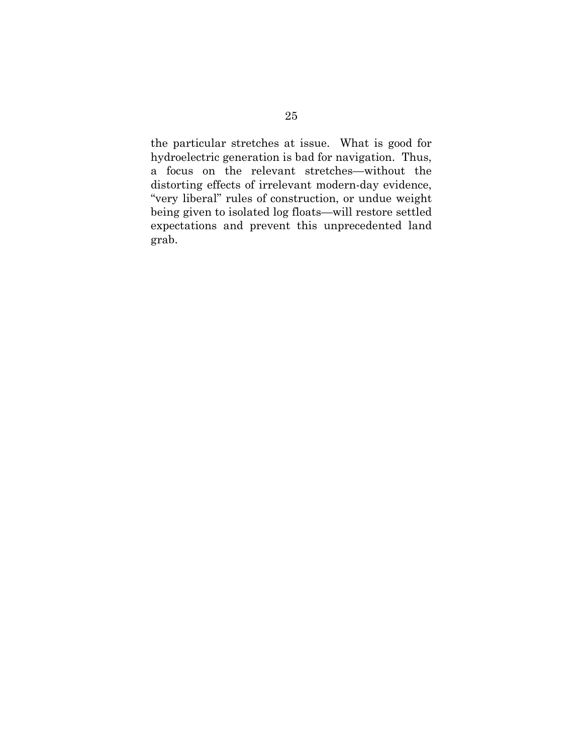the particular stretches at issue. What is good for hydroelectric generation is bad for navigation. Thus, a focus on the relevant stretches—without the distorting effects of irrelevant modern-day evidence, "very liberal" rules of construction, or undue weight being given to isolated log floats—will restore settled expectations and prevent this unprecedented land grab.